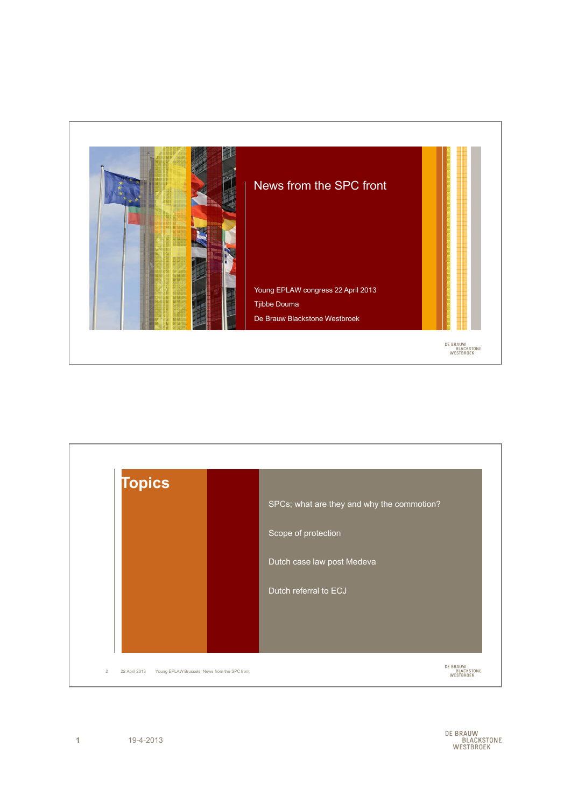



DE BRAUW<br>BLACKSTONE<br>WESTBROEK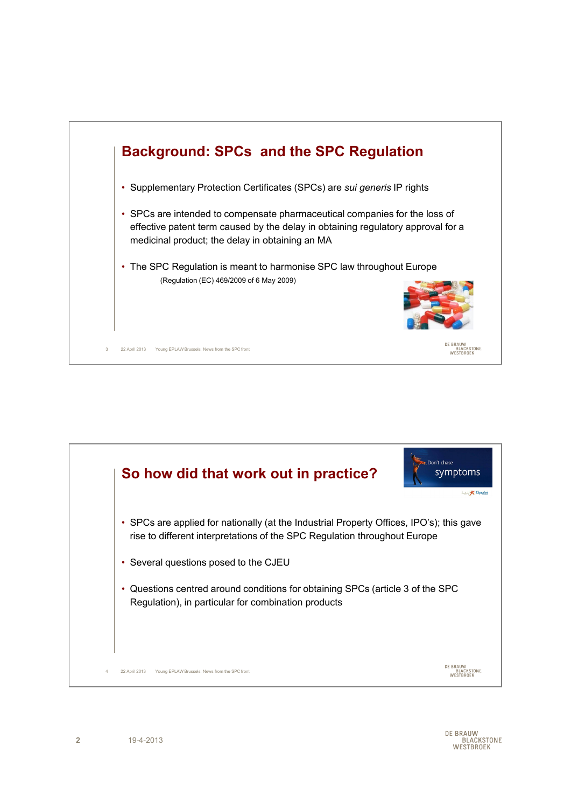

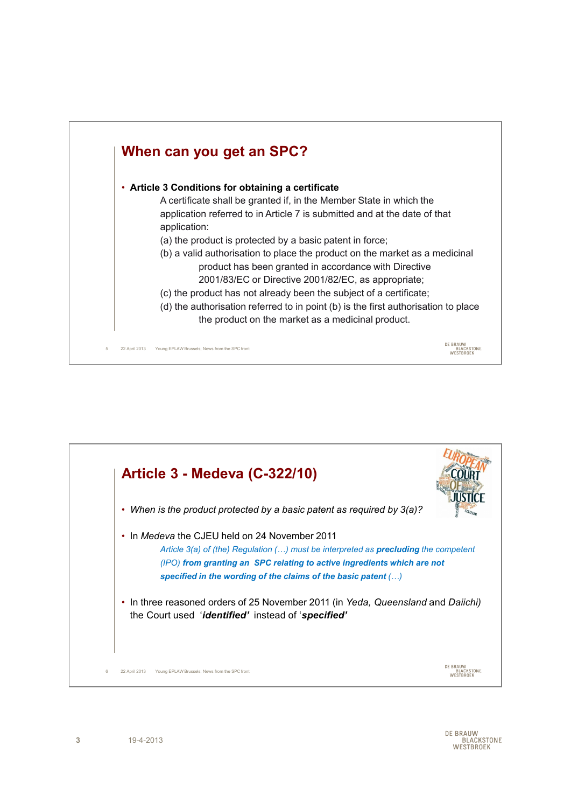

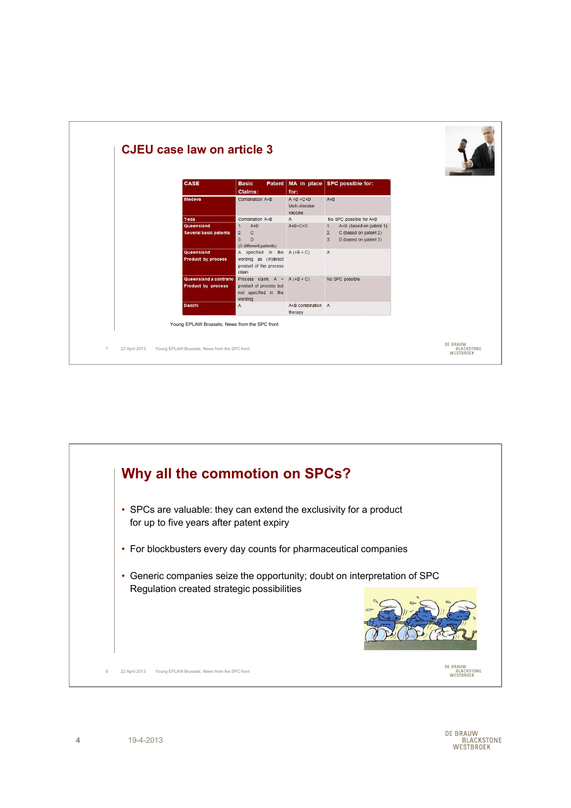

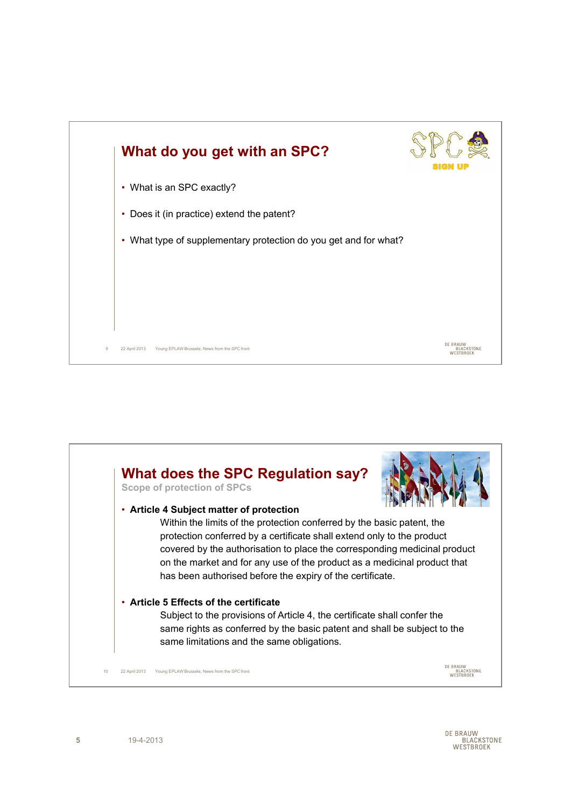

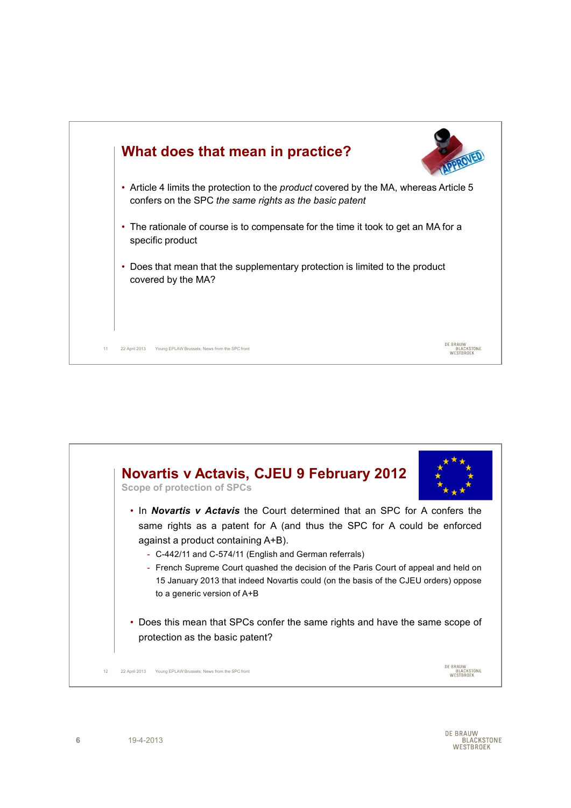

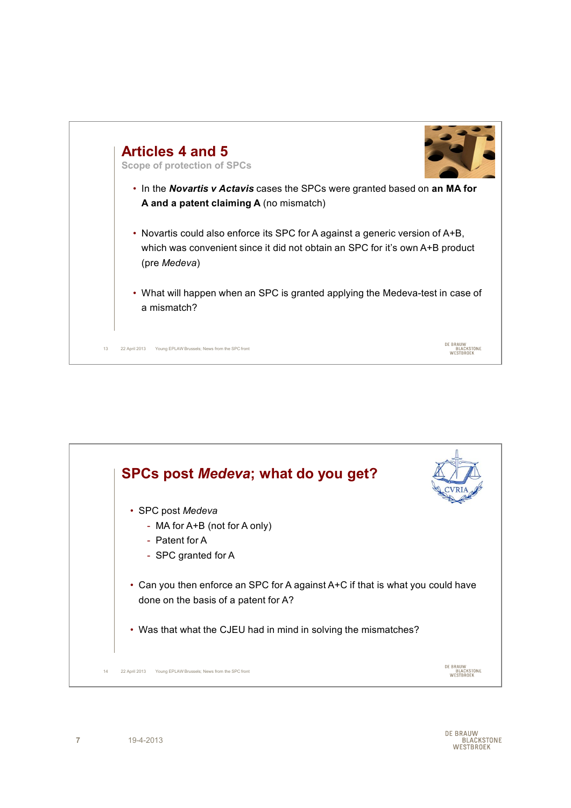

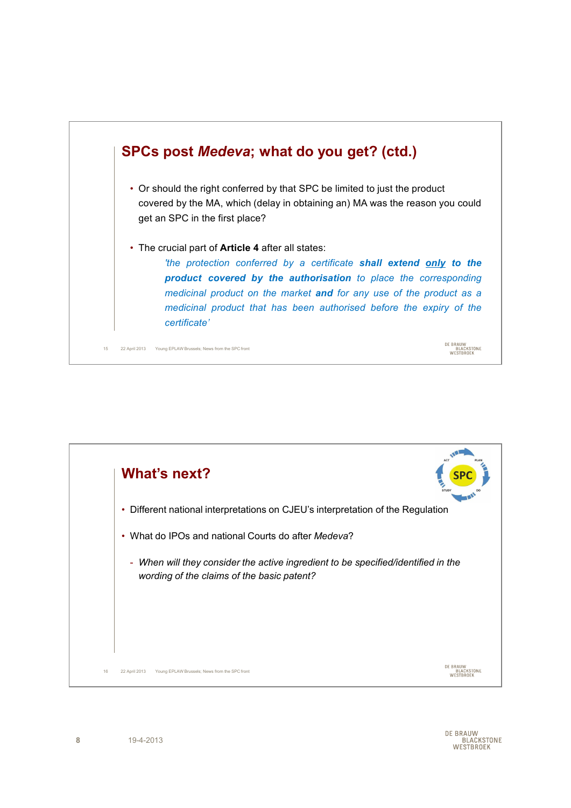

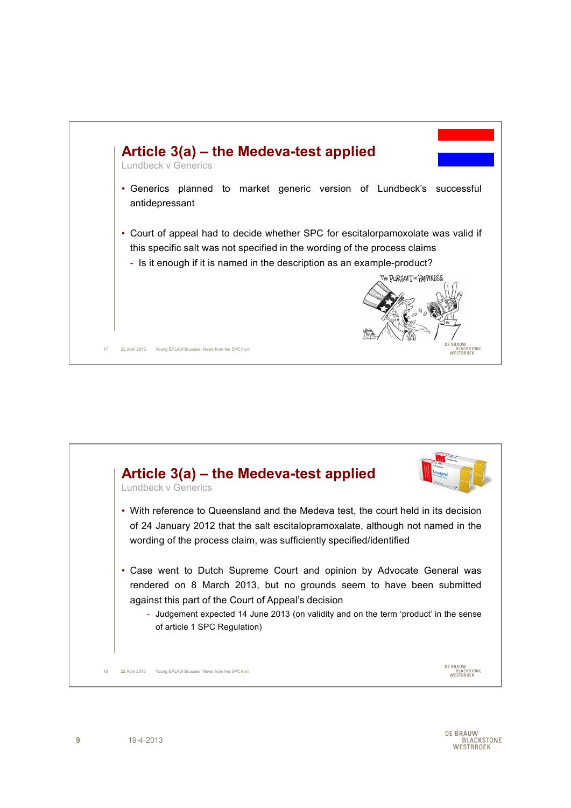

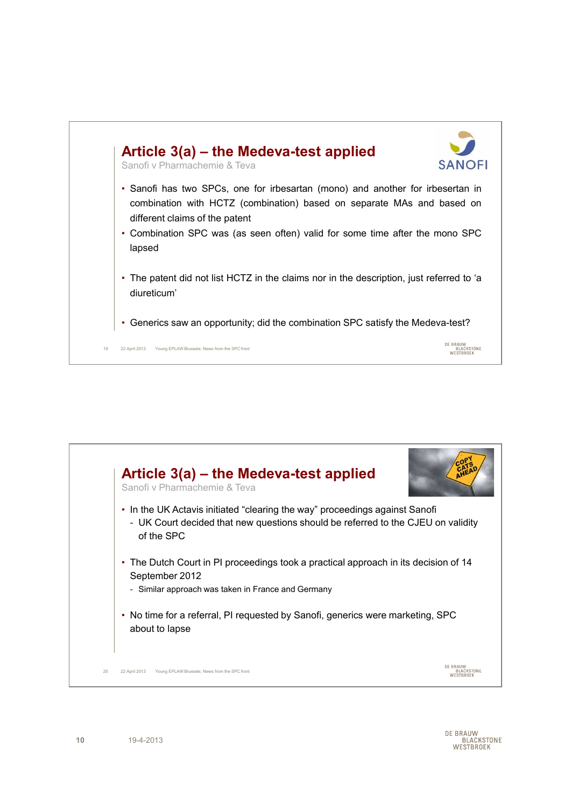

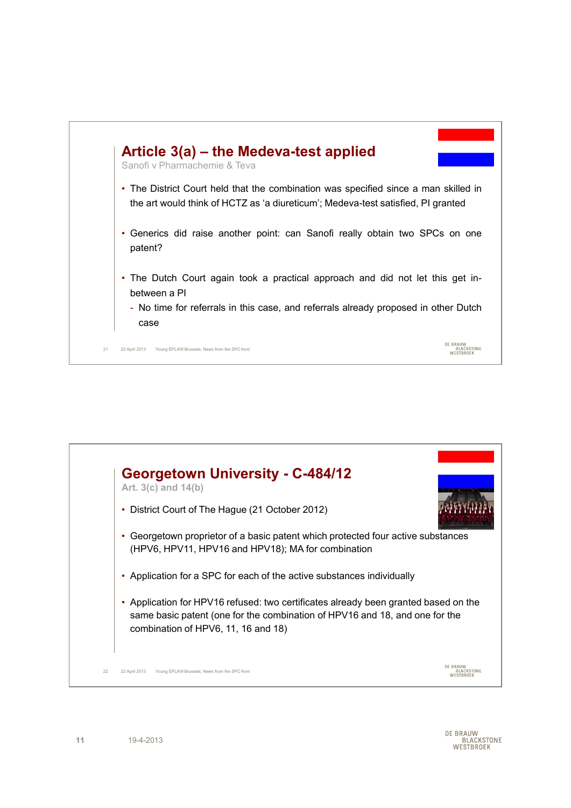



DE BRAUW RAUW<br>BLACKSTONE WESTBROEK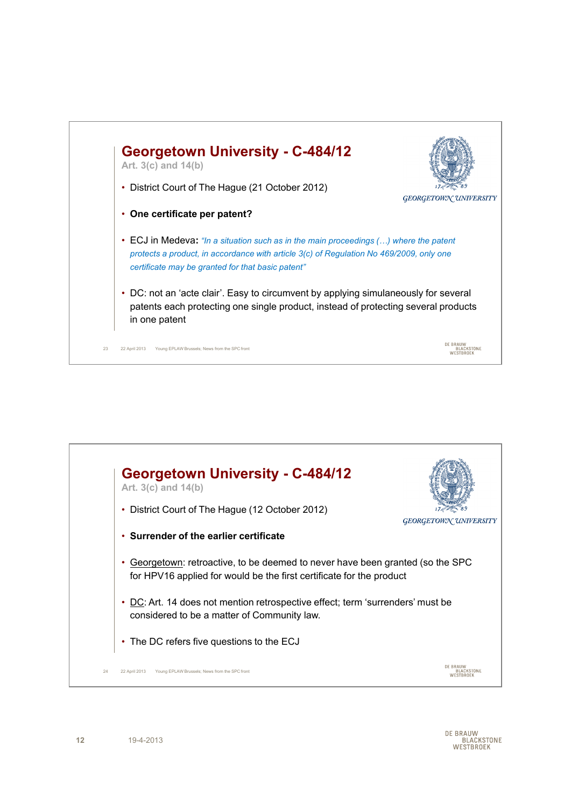